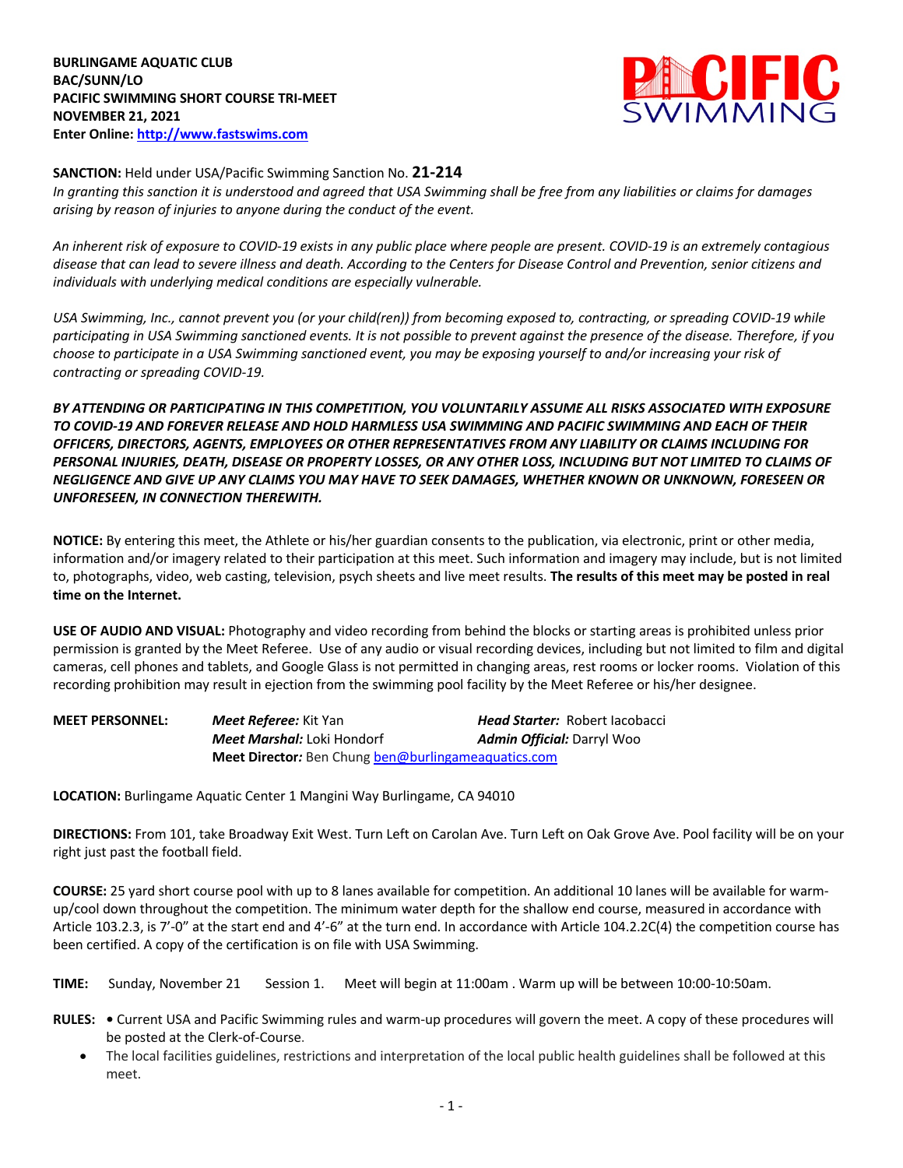**BURLINGAME AQUATIC CLUB BAC/SUNN/LO PACIFIC SWIMMING SHORT COURSE TRI-MEET NOVEMBER 21, 2021 Enter Online: http://www.fastswims.com**



**SANCTION:** Held under USA/Pacific Swimming Sanction No. **21-214**

*In granting this sanction it is understood and agreed that USA Swimming shall be free from any liabilities or claims for damages arising by reason of injuries to anyone during the conduct of the event.* 

*An inherent risk of exposure to COVID-19 exists in any public place where people are present. COVID-19 is an extremely contagious disease that can lead to severe illness and death. According to the Centers for Disease Control and Prevention, senior citizens and individuals with underlying medical conditions are especially vulnerable.*

*USA Swimming, Inc., cannot prevent you (or your child(ren)) from becoming exposed to, contracting, or spreading COVID-19 while participating in USA Swimming sanctioned events. It is not possible to prevent against the presence of the disease. Therefore, if you choose to participate in a USA Swimming sanctioned event, you may be exposing yourself to and/or increasing your risk of contracting or spreading COVID-19.*

*BY ATTENDING OR PARTICIPATING IN THIS COMPETITION, YOU VOLUNTARILY ASSUME ALL RISKS ASSOCIATED WITH EXPOSURE TO COVID-19 AND FOREVER RELEASE AND HOLD HARMLESS USA SWIMMING AND PACIFIC SWIMMING AND EACH OF THEIR OFFICERS, DIRECTORS, AGENTS, EMPLOYEES OR OTHER REPRESENTATIVES FROM ANY LIABILITY OR CLAIMS INCLUDING FOR PERSONAL INJURIES, DEATH, DISEASE OR PROPERTY LOSSES, OR ANY OTHER LOSS, INCLUDING BUT NOT LIMITED TO CLAIMS OF NEGLIGENCE AND GIVE UP ANY CLAIMS YOU MAY HAVE TO SEEK DAMAGES, WHETHER KNOWN OR UNKNOWN, FORESEEN OR UNFORESEEN, IN CONNECTION THEREWITH.*

**NOTICE:** By entering this meet, the Athlete or his/her guardian consents to the publication, via electronic, print or other media, information and/or imagery related to their participation at this meet. Such information and imagery may include, but is not limited to, photographs, video, web casting, television, psych sheets and live meet results. **The results of this meet may be posted in real time on the Internet.**

**USE OF AUDIO AND VISUAL:** Photography and video recording from behind the blocks or starting areas is prohibited unless prior permission is granted by the Meet Referee. Use of any audio or visual recording devices, including but not limited to film and digital cameras, cell phones and tablets, and Google Glass is not permitted in changing areas, rest rooms or locker rooms. Violation of this recording prohibition may result in ejection from the swimming pool facility by the Meet Referee or his/her designee.

| <b>MEET PERSONNEL:</b> | <b>Meet Referee:</b> Kit Yan                        | <b>Head Starter: Robert Jacobacci</b> |  |  |  |
|------------------------|-----------------------------------------------------|---------------------------------------|--|--|--|
|                        | <b>Meet Marshal:</b> Loki Hondorf                   | <b>Admin Official:</b> Darryl Woo     |  |  |  |
|                        | Meet Director: Ben Chung ben@burlingameaquatics.com |                                       |  |  |  |

**LOCATION:** Burlingame Aquatic Center 1 Mangini Way Burlingame, CA 94010

**DIRECTIONS:** From 101, take Broadway Exit West. Turn Left on Carolan Ave. Turn Left on Oak Grove Ave. Pool facility will be on your right just past the football field.

**COURSE:** 25 yard short course pool with up to 8 lanes available for competition. An additional 10 lanes will be available for warmup/cool down throughout the competition. The minimum water depth for the shallow end course, measured in accordance with Article 103.2.3, is 7'-0" at the start end and 4'-6" at the turn end. In accordance with Article 104.2.2C(4) the competition course has been certified. A copy of the certification is on file with USA Swimming.

**TIME:** Sunday, November 21 Session 1. Meet will begin at 11:00am . Warm up will be between 10:00-10:50am.

- **RULES: •** Current USA and Pacific Swimming rules and warm-up procedures will govern the meet. A copy of these procedures will be posted at the Clerk-of-Course.
	- The local facilities guidelines, restrictions and interpretation of the local public health guidelines shall be followed at this meet.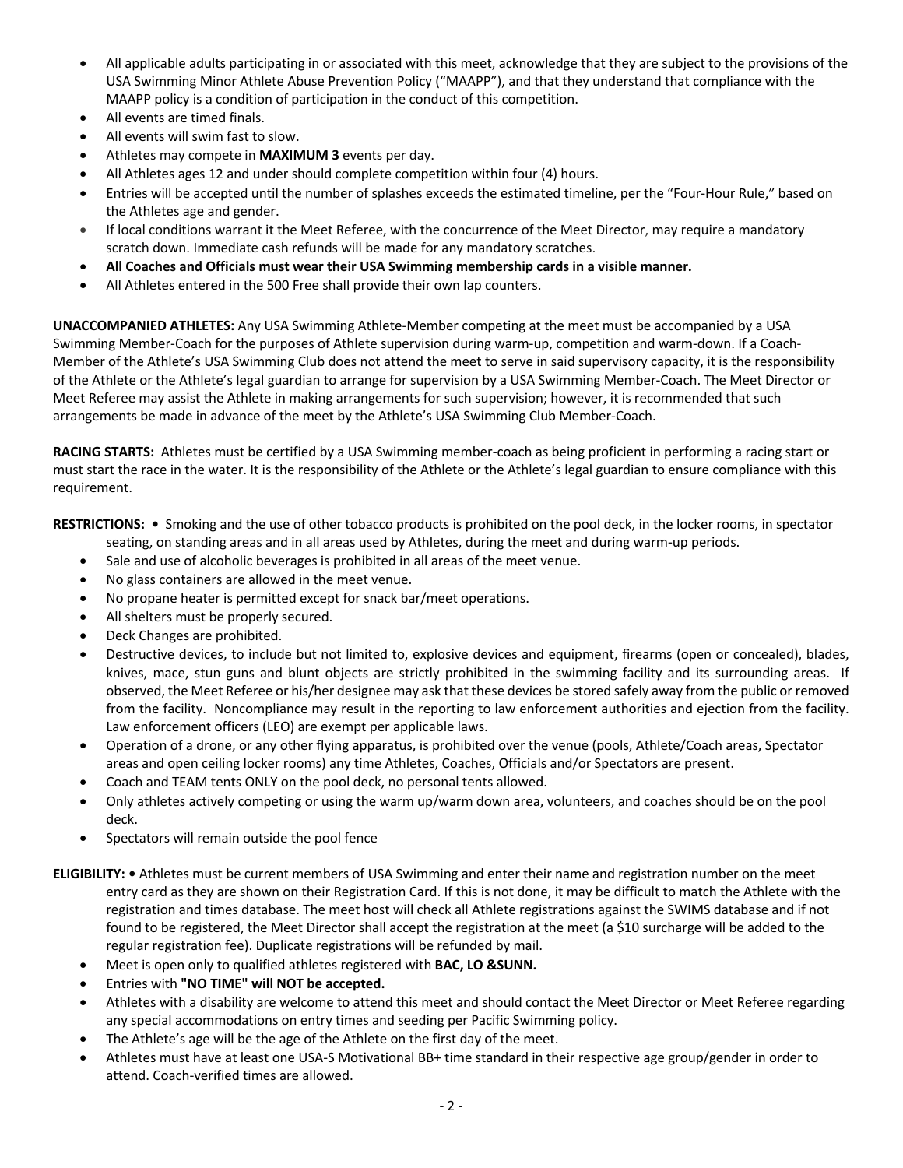- All applicable adults participating in or associated with this meet, acknowledge that they are subject to the provisions of the USA Swimming Minor Athlete Abuse Prevention Policy ("MAAPP"), and that they understand that compliance with the MAAPP policy is a condition of participation in the conduct of this competition.
- All events are timed finals.
- All events will swim fast to slow.
- Athletes may compete in **MAXIMUM 3** events per day.
- All Athletes ages 12 and under should complete competition within four (4) hours.
- Entries will be accepted until the number of splashes exceeds the estimated timeline, per the "Four-Hour Rule," based on the Athletes age and gender.
- If local conditions warrant it the Meet Referee, with the concurrence of the Meet Director, may require a mandatory scratch down. Immediate cash refunds will be made for any mandatory scratches.
- **All Coaches and Officials must wear their USA Swimming membership cards in a visible manner.**
- All Athletes entered in the 500 Free shall provide their own lap counters.

**UNACCOMPANIED ATHLETES:** Any USA Swimming Athlete-Member competing at the meet must be accompanied by a USA Swimming Member-Coach for the purposes of Athlete supervision during warm-up, competition and warm-down. If a Coach-Member of the Athlete's USA Swimming Club does not attend the meet to serve in said supervisory capacity, it is the responsibility of the Athlete or the Athlete's legal guardian to arrange for supervision by a USA Swimming Member-Coach. The Meet Director or Meet Referee may assist the Athlete in making arrangements for such supervision; however, it is recommended that such arrangements be made in advance of the meet by the Athlete's USA Swimming Club Member-Coach.

**RACING STARTS:** Athletes must be certified by a USA Swimming member-coach as being proficient in performing a racing start or must start the race in the water. It is the responsibility of the Athlete or the Athlete's legal guardian to ensure compliance with this requirement.

**RESTRICTIONS: •** Smoking and the use of other tobacco products is prohibited on the pool deck, in the locker rooms, in spectator seating, on standing areas and in all areas used by Athletes, during the meet and during warm-up periods.

- Sale and use of alcoholic beverages is prohibited in all areas of the meet venue.
- No glass containers are allowed in the meet venue.
- No propane heater is permitted except for snack bar/meet operations.
- All shelters must be properly secured.
- Deck Changes are prohibited.
- Destructive devices, to include but not limited to, explosive devices and equipment, firearms (open or concealed), blades, knives, mace, stun guns and blunt objects are strictly prohibited in the swimming facility and its surrounding areas. If observed, the Meet Referee or his/her designee may ask that these devices be stored safely away from the public or removed from the facility. Noncompliance may result in the reporting to law enforcement authorities and ejection from the facility. Law enforcement officers (LEO) are exempt per applicable laws.
- Operation of a drone, or any other flying apparatus, is prohibited over the venue (pools, Athlete/Coach areas, Spectator areas and open ceiling locker rooms) any time Athletes, Coaches, Officials and/or Spectators are present.
- Coach and TEAM tents ONLY on the pool deck, no personal tents allowed.
- Only athletes actively competing or using the warm up/warm down area, volunteers, and coaches should be on the pool deck.
- Spectators will remain outside the pool fence
- **ELIGIBILITY:** Athletes must be current members of USA Swimming and enter their name and registration number on the meet entry card as they are shown on their Registration Card. If this is not done, it may be difficult to match the Athlete with the registration and times database. The meet host will check all Athlete registrations against the SWIMS database and if not found to be registered, the Meet Director shall accept the registration at the meet (a \$10 surcharge will be added to the regular registration fee). Duplicate registrations will be refunded by mail.
	- Meet is open only to qualified athletes registered with **BAC, LO &SUNN.**
	- Entries with **"NO TIME" will NOT be accepted.**
	- Athletes with a disability are welcome to attend this meet and should contact the Meet Director or Meet Referee regarding any special accommodations on entry times and seeding per Pacific Swimming policy.
	- The Athlete's age will be the age of the Athlete on the first day of the meet.
	- Athletes must have at least one USA-S Motivational BB+ time standard in their respective age group/gender in order to attend. Coach-verified times are allowed.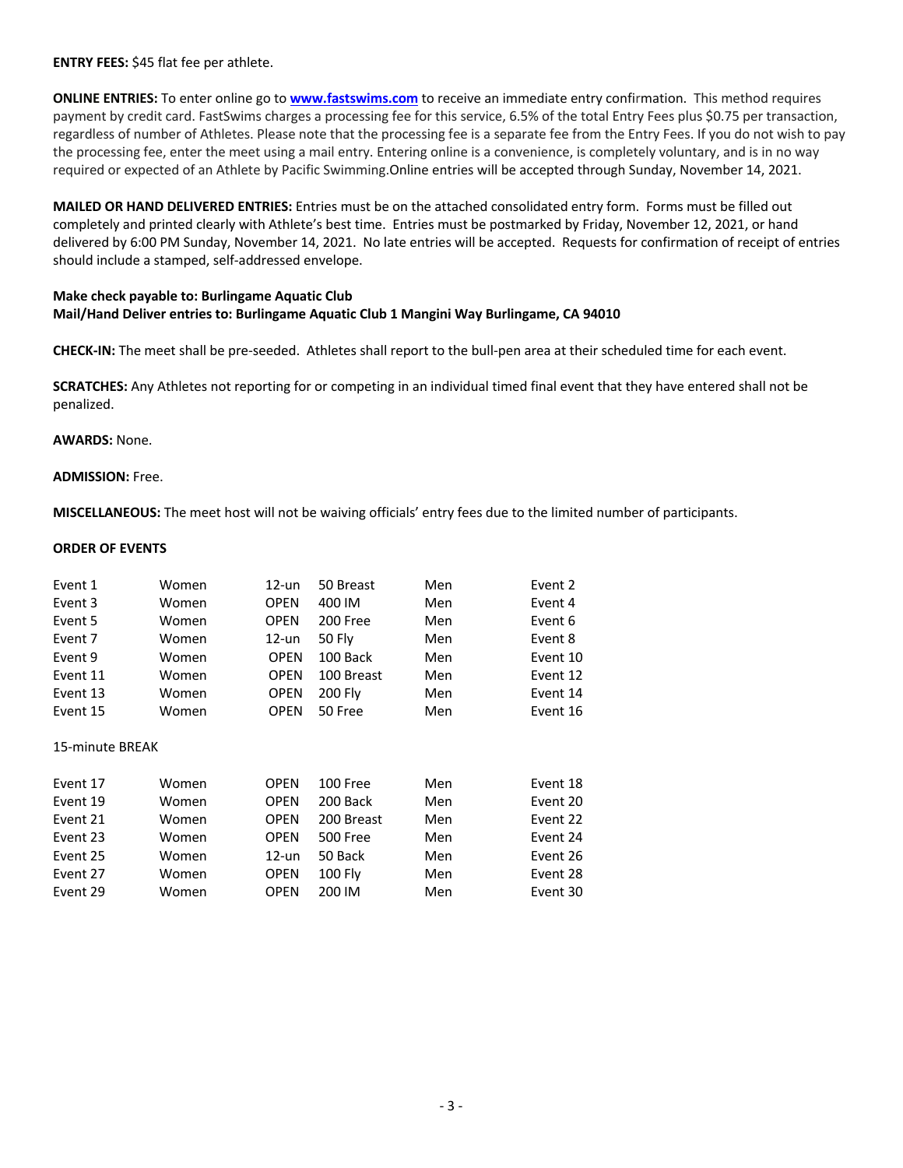### **ENTRY FEES:** \$45 flat fee per athlete.

**ONLINE ENTRIES:** To enter online go to **www.fastswims.com** to receive an immediate entry confirmation. This method requires payment by credit card. FastSwims charges a processing fee for this service, 6.5% of the total Entry Fees plus \$0.75 per transaction, regardless of number of Athletes. Please note that the processing fee is a separate fee from the Entry Fees. If you do not wish to pay the processing fee, enter the meet using a mail entry. Entering online is a convenience, is completely voluntary, and is in no way required or expected of an Athlete by Pacific Swimming.Online entries will be accepted through Sunday, November 14, 2021.

**MAILED OR HAND DELIVERED ENTRIES:** Entries must be on the attached consolidated entry form. Forms must be filled out completely and printed clearly with Athlete's best time. Entries must be postmarked by Friday, November 12, 2021, or hand delivered by 6:00 PM Sunday, November 14, 2021. No late entries will be accepted. Requests for confirmation of receipt of entries should include a stamped, self-addressed envelope.

## **Make check payable to: Burlingame Aquatic Club Mail/Hand Deliver entries to: Burlingame Aquatic Club 1 Mangini Way Burlingame, CA 94010**

**CHECK-IN:** The meet shall be pre-seeded. Athletes shall report to the bull-pen area at their scheduled time for each event.

**SCRATCHES:** Any Athletes not reporting for or competing in an individual timed final event that they have entered shall not be penalized.

#### **AWARDS:** None.

### **ADMISSION:** Free.

**MISCELLANEOUS:** The meet host will not be waiving officials' entry fees due to the limited number of participants.

# **ORDER OF EVENTS**

| Event 1         | Women | $12$ -un    | 50 Breast  | Men | Event 2  |
|-----------------|-------|-------------|------------|-----|----------|
| Event 3         | Women | <b>OPEN</b> | 400 IM     | Men | Event 4  |
| Event 5         | Women | <b>OPEN</b> | 200 Free   | Men | Event 6  |
| Event 7         | Women | $12 -$ un   | 50 Fly     | Men | Event 8  |
| Event 9         | Women | <b>OPEN</b> | 100 Back   | Men | Event 10 |
| Event 11        | Women | <b>OPEN</b> | 100 Breast | Men | Event 12 |
| Event 13        | Women | <b>OPEN</b> | 200 Fly    | Men | Event 14 |
| Event 15        | Women |             | 50 Free    | Men | Event 16 |
| 15-minute BREAK |       |             |            |     |          |
| Event 17        | Women | <b>OPEN</b> | 100 Free   | Men | Event 18 |
| Event 19        | Women | <b>OPEN</b> | 200 Back   | Men | Event 20 |
| Event 21        | Women | <b>OPEN</b> | 200 Breast | Men | Event 22 |
| Event 23        | Women | <b>OPEN</b> | 500 Free   | Men | Event 24 |
| Event 25        | Women | $12 -$ un   | 50 Back    | Men | Event 26 |
| Event 27        | Women | <b>OPEN</b> | $100$ Fly  | Men | Event 28 |
| Event 29        | Women | <b>OPEN</b> | 200 IM     | Men | Event 30 |